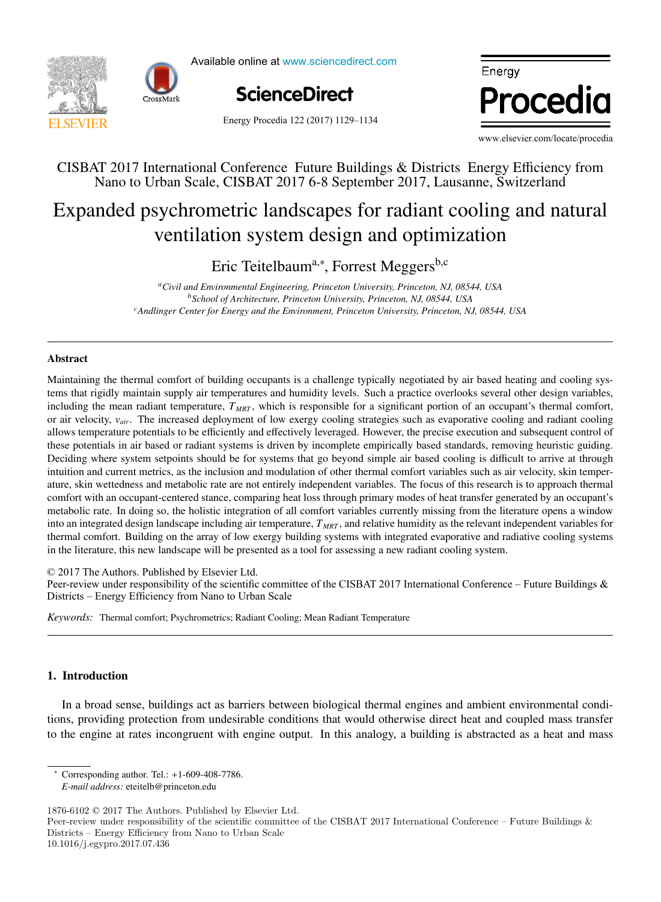



Available online at www.sciencedirect.com



Energy Procedia 122 (2017) 1129-1134

Energy Procedia

www.elsevier.com/locate/procedia www.elsevier.com/locate/procedia www.elsevier.com/locate/procedia

### CISBAT 2017 International Conference Future Buildings & Districts Energy Efficiency from CISBAT 2017 International Conference Future Buildings & Districts Energy Efficiency from Nano to Urban Scale, CISBAT 2017 6-8 September 2017, Lausanne, Switzerland Nano to Urban Scale, CISBAT 2017 6-8 September 2017, Lausanne, Switzerland

# Expanded psychrometric landscapes for radiant cooling and natural ventilation system design and optimization ventilation system design and optimization

 $\Gamma$ rie  $\Gamma$ eitelbeurd $*$   $\Gamma$ erret Measarche Eric Teitelbaum<sup>a,∗</sup>, Forrest Meggers<sup>b,c</sup>

<sup>a</sup>Civil and Environmental Engineering, Princeton University, Princeton, NJ, 08544, USA<br><sup>8</sup>School of Americanness Princeton University, Princeton, NJ, 08544, USA <sup>c</sup>Andlinger Center for Energy and the Environment, Princeton University, Princeton, NJ, 08544, USA *b* School of Architecture, Princeton University, Princeton, NJ, 08544, USA<br>by the Carl <sup>F</sup>rince and the Employment Princeton University, Princeton, N

*IN+ Center for Innovation, Technology and Policy Research - Instituto Superior Técnico, Av. Rovisco Pais 1, 1049-001 Lisbon, Portugal*

### Abstract Abstract

or air velocity, v<sub>air</sub>. The increased deployment of low exergy cooling strategies such as evaporative cooling and radiant cooling these potentials in air based or radiant systems is driven by incomplete empirically based standards, removing heuristic guiding. Deciding where system setpoints should be for systems that go beyond simple air based cooling is difficult to arrive at through intuition and current metrics, as the inclusion and modulation of other thermal comfort variables such as air velocity, skin temperature, skin wettedness and metabolic rate are not entirely independent variables. The focus of this research is to approach thermal comfort with an occupant-centered stance, comparing heat loss through primary modes of heat transfer generated by an occupant's education with an occupant-centered statict, comparing tical loss unough primary modes of theat transier generated by an occupant s<br>metabolic rate. In doing so, the holistic integration of all comfort variables currently m interaction and integrated design landscape including air temperature,  $T_{MRT}$ , and relative humidity as the relevant independent variables for thermal comfort. Building on the array of low exergy building systems with integrated evaporative and radiative cooling systems. in the literature, this new landscape will be presented as a tool for assessing a new radiant cooling system. The results showed that when only weather change is considered, the margin of error could be acceptable for some applications of error could be acceptable for some applications of error could be applications of each could tems that rigidly maintain supply air temperatures and humidity levels. Such a practice overlooks several other design variables, including the mean radiant temperature, T<sub>MRT</sub>, which is responsible for a significant portion of an occupant's thermal comfort, allows temperature potentials to be efficiently and effectively leveraged. However, the precise execution and subsequent control of thermal comfort. Building on the array of low exergy building systems with integrated evaporative and radiative cooling systems Maintaining the thermal comfort of building occupants is a challenge typically negotiated by air based heating and cooling sys-

© 2017 The Authors. Published by Elsevier Ltd.

© 2017 The Authors. Published by Elsevier Ltd.<br>Peer-review under responsibility of the scientific committee of the CISBAT 2017 International Conference – Future Buildings & Districts – Energy Efficiency from Nano to Urban Scale Petrictylew under responsibility of the scientific count

coupled scenarios). The values suggested could be used to modify the function parameters for the scenarios considered, and

Keywords: Thermal comfort; Psychrometrics; Radiant Cooling; Mean Radiant Temperature renovation scenarios considered). On the other hand, function intercept increased for 7.8-12.7% per decade (depending on the

## 1. Introduction

In a broad sense, buildings act as barriers between biological thermal engines and ambient environmental condito the engine at rates incongruent with engine output. In this analogy, a building is abstracted as a heat and mass tions, providing protection from undesirable conditions that would otherwise direct heat and coupled mass transfer

<sup>∗</sup> Corresponding author. Tel.: +1-609-408-7786. ∗ Corresponding author. Tel.: +1-609-408-7786.

<sup>1876-6102</sup> © 2017 The Authors. Published by Elsevier Ltd. *E-mail address:* eteitelb@princeton.edu *E-mail address:* eteitelb@princeton.edu

 $1876\textrm{-}6102$   $\odot$   $2017$  The Authors. Published by Elsevier Ltd.

Foro-0102 © 2017 The Authors. I donalited by Elsevier Etd.<br>Peer-review under responsibility of the scientific committee of the CISBAT 2017 International Conference – Future Buildings & Districts – Energy Efficiency from Nano to Urban Scale Efficiency from Nano to Urban Scale. Efficiency from Nano to Urban Scale. 10.1016/j.egypro.2017.07.436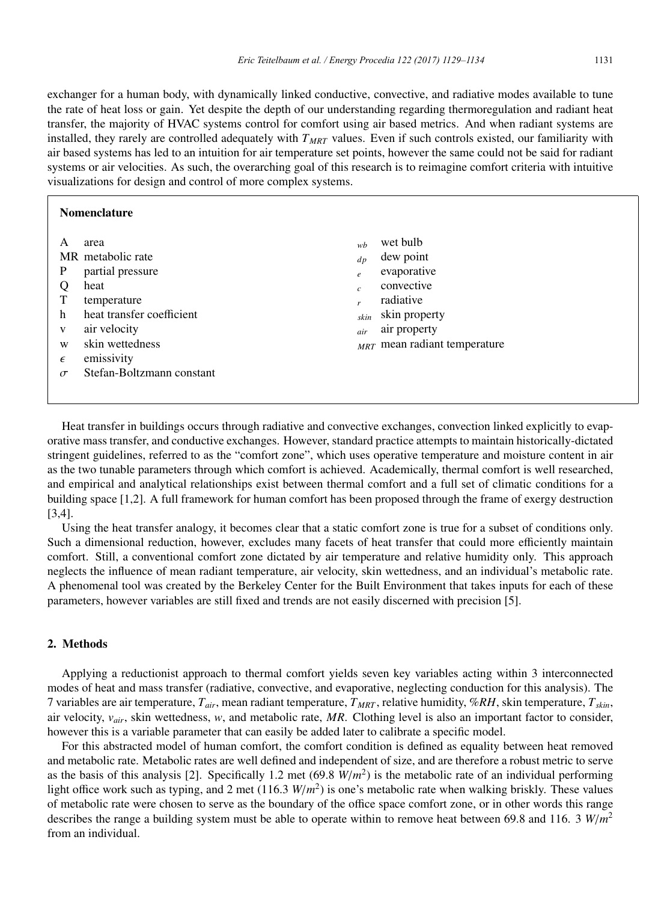exchanger for a human body, with dynamically linked conductive, convective, and radiative modes available to tune the rate of heat loss or gain. Yet despite the depth of our understanding regarding thermoregulation and radiant heat transfer, the majority of HVAC systems control for comfort using air based metrics. And when radiant systems are installed, they rarely are controlled adequately with  $T_{MRT}$  values. Even if such controls existed, our familiarity with air based systems has led to an intuition for air temperature set points, however the same could not be said for radiant systems or air velocities. As such, the overarching goal of this research is to reimagine comfort criteria with intuitive visualizations for design and control of more complex systems.

| wet bulb<br>wh<br>dew point<br>$d_{p}$<br>evaporative<br>$\epsilon$<br>convective<br>$\overline{c}$<br>radiative<br>r<br>skin property<br>skin<br>air property<br>air<br>$MRT$ mean radiant temperature |
|---------------------------------------------------------------------------------------------------------------------------------------------------------------------------------------------------------|
|                                                                                                                                                                                                         |

Heat transfer in buildings occurs through radiative and convective exchanges, convection linked explicitly to evaporative mass transfer, and conductive exchanges. However, standard practice attempts to maintain historically-dictated stringent guidelines, referred to as the "comfort zone", which uses operative temperature and moisture content in air as the two tunable parameters through which comfort is achieved. Academically, thermal comfort is well researched, and empirical and analytical relationships exist between thermal comfort and a full set of climatic conditions for a building space [1,2]. A full framework for human comfort has been proposed through the frame of exergy destruction [3,4].

Using the heat transfer analogy, it becomes clear that a static comfort zone is true for a subset of conditions only. Such a dimensional reduction, however, excludes many facets of heat transfer that could more efficiently maintain comfort. Still, a conventional comfort zone dictated by air temperature and relative humidity only. This approach neglects the influence of mean radiant temperature, air velocity, skin wettedness, and an individual's metabolic rate. A phenomenal tool was created by the Berkeley Center for the Built Environment that takes inputs for each of these parameters, however variables are still fixed and trends are not easily discerned with precision [5].

#### 2. Methods

Applying a reductionist approach to thermal comfort yields seven key variables acting within 3 interconnected modes of heat and mass transfer (radiative, convective, and evaporative, neglecting conduction for this analysis). The 7 variables are air temperature, *Tair*, mean radiant temperature, *TMRT* , relative humidity, %*RH*, skin temperature, *Tskin*, air velocity, *vair*, skin wettedness, *w*, and metabolic rate, *MR*. Clothing level is also an important factor to consider, however this is a variable parameter that can easily be added later to calibrate a specific model.

For this abstracted model of human comfort, the comfort condition is defined as equality between heat removed and metabolic rate. Metabolic rates are well defined and independent of size, and are therefore a robust metric to serve as the basis of this analysis [2]. Specifically 1.2 met  $(69.8 \text{ W/m}^2)$  is the metabolic rate of an individual performing light office work such as typing, and 2 met (116.3 *W*/*m*2) is one's metabolic rate when walking briskly. These values of metabolic rate were chosen to serve as the boundary of the office space comfort zone, or in other words this range describes the range a building system must be able to operate within to remove heat between 69.8 and 116. 3 *W*/*m*<sup>2</sup> from an individual.